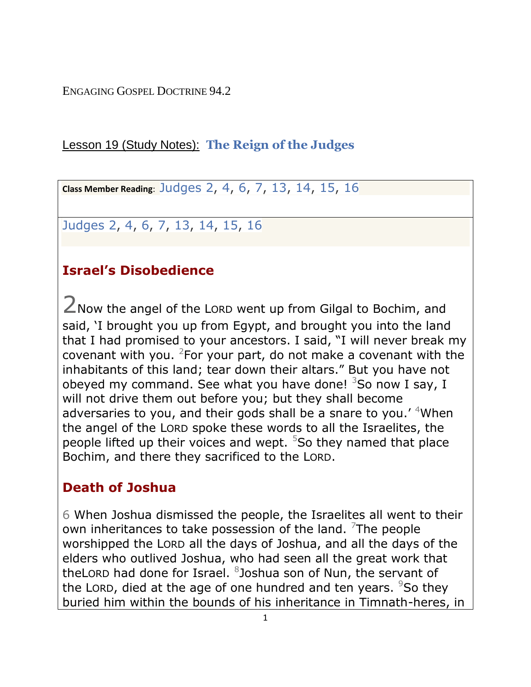ENGAGING GOSPEL DOCTRINE 94.2

#### Lesson 19 (Study Notes): **[The Reign of the Judges](https://www.lds.org/manual/old-testament-gospel-doctrine-teachers-manual/lesson-19-the-reign-of-the-judges?lang=eng)**

**Class Member Reading**: [Judges 2,](http://www.lds.org/scriptures/ot/judg/2?lang=eng) [4,](http://www.lds.org/scriptures/ot/judg/4?lang=eng) [6,](http://www.lds.org/scriptures/ot/judg/6?lang=eng) [7,](http://www.lds.org/scriptures/ot/judg/7?lang=eng) [13,](http://www.lds.org/scriptures/ot/judg/13?lang=eng) [14,](http://www.lds.org/scriptures/ot/judg/14?lang=eng) [15,](http://www.lds.org/scriptures/ot/judg/15?lang=eng) [16](http://www.lds.org/scriptures/ot/judg/16?lang=eng)

[Judges 2,](http://www.lds.org/scriptures/ot/judg/2?lang=eng) [4,](http://www.lds.org/scriptures/ot/judg/4?lang=eng) [6,](http://www.lds.org/scriptures/ot/judg/6?lang=eng) [7,](http://www.lds.org/scriptures/ot/judg/7?lang=eng) [13,](http://www.lds.org/scriptures/ot/judg/13?lang=eng) [14,](http://www.lds.org/scriptures/ot/judg/14?lang=eng) [15,](http://www.lds.org/scriptures/ot/judg/15?lang=eng) [16](http://www.lds.org/scriptures/ot/judg/16?lang=eng)

# **Israel's Disobedience**

2Now the angel of the <sup>L</sup>ORD went up from Gilgal to Bochim, and said, 'I brought you up from Egypt, and brought you into the land that I had promised to your ancestors. I said, "I will never break my covenant with you. <sup>2</sup> For your part, do not make a covenant with the inhabitants of this land; tear down their altars." But you have not obeyed my command. See what you have done!  $3$ So now I say, I will not drive them out before you; but they shall become adversaries to you, and their gods shall be a snare to you.' <sup>4</sup>When the angel of the LORD spoke these words to all the Israelites, the people lifted up their voices and wept.  $5$ So they named that place Bochim, and there they sacrificed to the LORD.

## **Death of Joshua**

6 When Joshua dismissed the people, the Israelites all went to their own inheritances to take possession of the land.  $7$ The people worshipped the LORD all the days of Joshua, and all the days of the elders who outlived Joshua, who had seen all the great work that theLORD had done for Israel. <sup>8</sup>Joshua son of Nun, the servant of the LORD, died at the age of one hundred and ten years.  $950$  they buried him within the bounds of his inheritance in Timnath-heres, in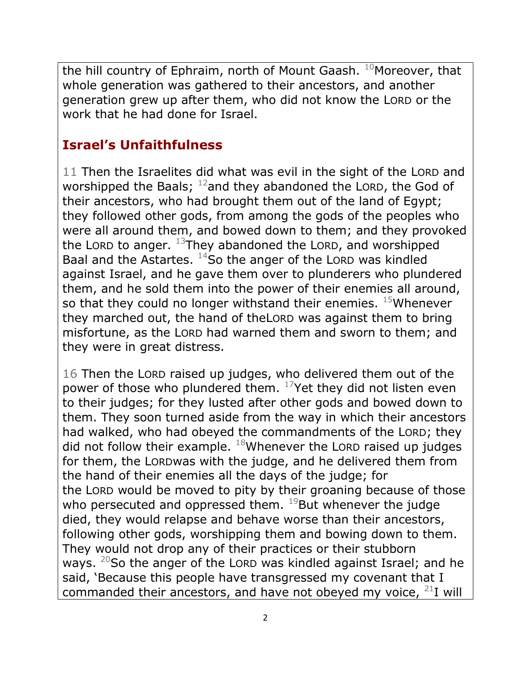the hill country of Ephraim, north of Mount Gaash.  $10$ Moreover, that whole generation was gathered to their ancestors, and another generation grew up after them, who did not know the LORD or the work that he had done for Israel.

### **Israel's Unfaithfulness**

11 Then the Israelites did what was evil in the sight of the LORD and worshipped the Baals;  $12$  and they abandoned the LORD, the God of their ancestors, who had brought them out of the land of Egypt; they followed other gods, from among the gods of the peoples who were all around them, and bowed down to them; and they provoked the LORD to anger.  $^{13}$ They abandoned the LORD, and worshipped Baal and the Astartes.  $14$ So the anger of the LORD was kindled against Israel, and he gave them over to plunderers who plundered them, and he sold them into the power of their enemies all around, so that they could no longer withstand their enemies.  $15$ Whenever they marched out, the hand of theLORD was against them to bring misfortune, as the LORD had warned them and sworn to them; and they were in great distress.

16 Then the LORD raised up judges, who delivered them out of the power of those who plundered them.  $17$ Yet they did not listen even to their judges; for they lusted after other gods and bowed down to them. They soon turned aside from the way in which their ancestors had walked, who had obeyed the commandments of the LORD; they did not follow their example.  $18$ Whenever the LORD raised up judges for them, the LORDwas with the judge, and he delivered them from the hand of their enemies all the days of the judge; for the LORD would be moved to pity by their groaning because of those who persecuted and oppressed them.  $^{19}$ But whenever the judge died, they would relapse and behave worse than their ancestors, following other gods, worshipping them and bowing down to them. They would not drop any of their practices or their stubborn ways.  $20$ So the anger of the LORD was kindled against Israel; and he said, 'Because this people have transgressed my covenant that I commanded their ancestors, and have not obeyed my voice,  $^{21}$ I will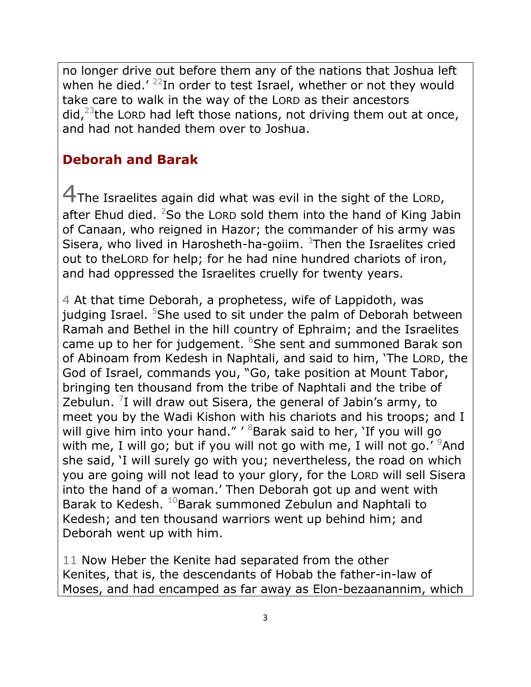no longer drive out before them any of the nations that Joshua left when he died.'  $^{22}$ In order to test Israel, whether or not they would take care to walk in the way of the LORD as their ancestors did, $^{23}$ the LORD had left those nations, not driving them out at once, and had not handed them over to Joshua.

## **Deborah and Barak**

4The Israelites again did what was evil in the sight of the <sup>L</sup>ORD, after Ehud died.  ${}^{2}$ So the LORD sold them into the hand of King Jabin of Canaan, who reigned in Hazor; the commander of his army was Sisera, who lived in Harosheth-ha-goiim.  $3$ Then the Israelites cried out to theLORD for help; for he had nine hundred chariots of iron, and had oppressed the Israelites cruelly for twenty years.

4 At that time Deborah, a prophetess, wife of Lappidoth, was judging Israel. <sup>5</sup>She used to sit under the palm of Deborah between Ramah and Bethel in the hill country of Ephraim; and the Israelites came up to her for judgement. <sup>6</sup>She sent and summoned Barak son of Abinoam from Kedesh in Naphtali, and said to him, 'The LORD, the God of Israel, commands you, "Go, take position at Mount Tabor, bringing ten thousand from the tribe of Naphtali and the tribe of Zebulun.  $7$ I will draw out Sisera, the general of Jabin's army, to meet you by the Wadi Kishon with his chariots and his troops; and I will give him into your hand." ' <sup>8</sup>Barak said to her, 'If you will go with me, I will go; but if you will not go with me, I will not go.'  $9$ And she said, 'I will surely go with you; nevertheless, the road on which you are going will not lead to your glory, for the LORD will sell Sisera into the hand of a woman.' Then Deborah got up and went with Barak to Kedesh. <sup>10</sup>Barak summoned Zebulun and Naphtali to Kedesh; and ten thousand warriors went up behind him; and Deborah went up with him.

11 Now Heber the Kenite had separated from the other Kenites, that is, the descendants of Hobab the father-in-law of Moses, and had encamped as far away as Elon-bezaanannim, which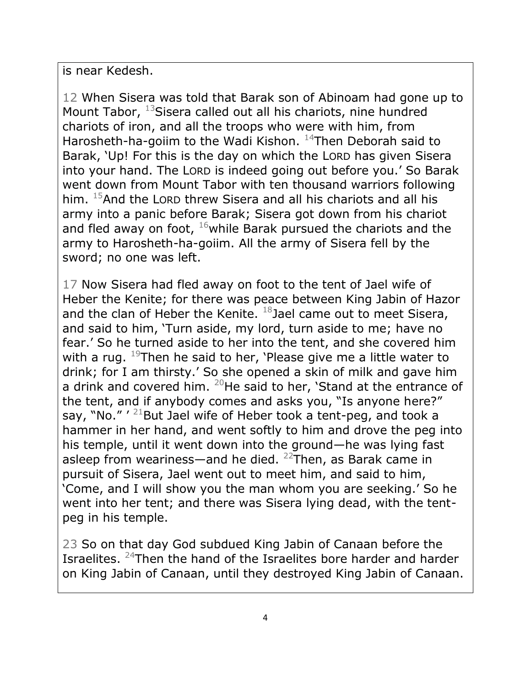is near Kedesh.

12 When Sisera was told that Barak son of Abinoam had gone up to Mount Tabor, <sup>13</sup>Sisera called out all his chariots, nine hundred chariots of iron, and all the troops who were with him, from Harosheth-ha-goiim to the Wadi Kishon.  $14$ Then Deborah said to Barak, 'Up! For this is the day on which the LORD has given Sisera into your hand. The LORD is indeed going out before you.' So Barak went down from Mount Tabor with ten thousand warriors following him. <sup>15</sup>And the LORD threw Sisera and all his chariots and all his army into a panic before Barak; Sisera got down from his chariot and fled away on foot,  $16$  while Barak pursued the chariots and the army to Harosheth-ha-goiim. All the army of Sisera fell by the sword; no one was left.

17 Now Sisera had fled away on foot to the tent of Jael wife of Heber the Kenite; for there was peace between King Jabin of Hazor and the clan of Heber the Kenite.  $^{18}$ Jael came out to meet Sisera, and said to him, 'Turn aside, my lord, turn aside to me; have no fear.' So he turned aside to her into the tent, and she covered him with a rug.  $19$ Then he said to her, 'Please give me a little water to drink; for I am thirsty.' So she opened a skin of milk and gave him a drink and covered him.  $^{20}$ He said to her, 'Stand at the entrance of the tent, and if anybody comes and asks you, "Is anyone here?" say, "No." ' <sup>21</sup>But Jael wife of Heber took a tent-peg, and took a hammer in her hand, and went softly to him and drove the peg into his temple, until it went down into the ground—he was lying fast asleep from weariness—and he died.  $^{22}$ Then, as Barak came in pursuit of Sisera, Jael went out to meet him, and said to him, 'Come, and I will show you the man whom you are seeking.' So he went into her tent; and there was Sisera lying dead, with the tentpeg in his temple.

23 So on that day God subdued King Jabin of Canaan before the Israelites. <sup>24</sup>Then the hand of the Israelites bore harder and harder on King Jabin of Canaan, until they destroyed King Jabin of Canaan.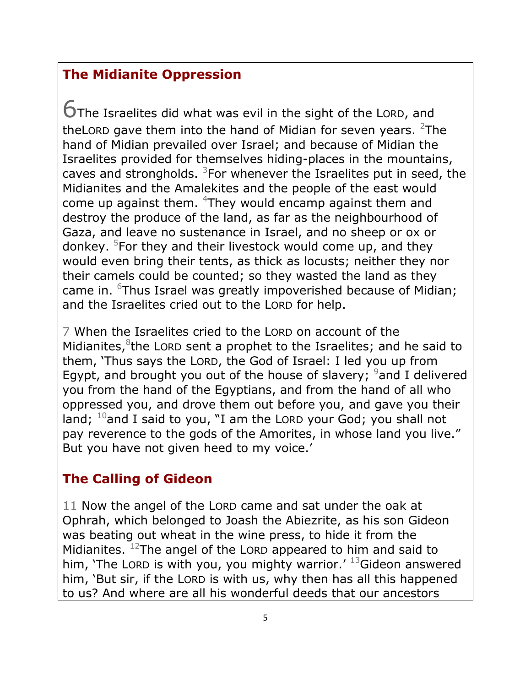### **The Midianite Oppression**

6The Israelites did what was evil in the sight of the <sup>L</sup>ORD, and theLORD gave them into the hand of Midian for seven years.  $2$ The hand of Midian prevailed over Israel; and because of Midian the Israelites provided for themselves hiding-places in the mountains, caves and strongholds.  $3$ For whenever the Israelites put in seed, the Midianites and the Amalekites and the people of the east would come up against them. <sup>4</sup>They would encamp against them and destroy the produce of the land, as far as the neighbourhood of Gaza, and leave no sustenance in Israel, and no sheep or ox or donkey. <sup>5</sup>For they and their livestock would come up, and they would even bring their tents, as thick as locusts; neither they nor their camels could be counted; so they wasted the land as they came in. <sup>6</sup>Thus Israel was greatly impoverished because of Midian; and the Israelites cried out to the LORD for help.

7 When the Israelites cried to the LORD on account of the Midianites, <sup>8</sup>the LORD sent a prophet to the Israelites; and he said to them, 'Thus says the LORD, the God of Israel: I led you up from Egypt, and brought you out of the house of slavery;  $9$  and I delivered you from the hand of the Egyptians, and from the hand of all who oppressed you, and drove them out before you, and gave you their land;  $10$ and I said to you, "I am the LORD your God; you shall not pay reverence to the gods of the Amorites, in whose land you live." But you have not given heed to my voice.'

## **The Calling of Gideon**

11 Now the angel of the LORD came and sat under the oak at Ophrah, which belonged to Joash the Abiezrite, as his son Gideon was beating out wheat in the wine press, to hide it from the Midianites.  $12$ The angel of the LORD appeared to him and said to him, 'The LORD is with you, you mighty warrior.'  $^{13}$ Gideon answered him, 'But sir, if the LORD is with us, why then has all this happened to us? And where are all his wonderful deeds that our ancestors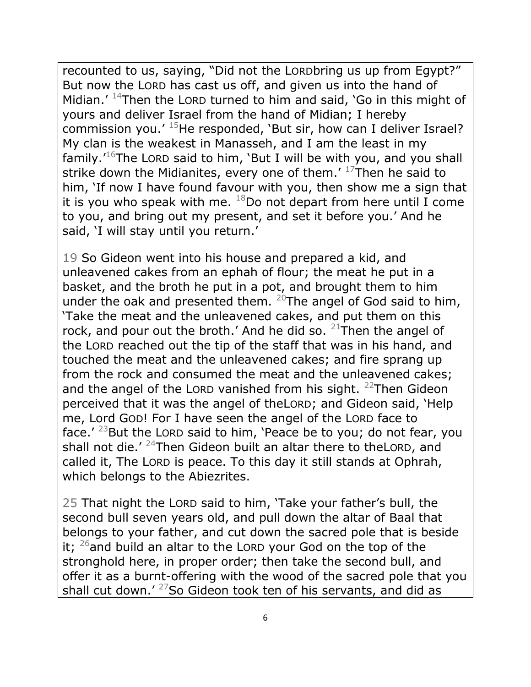recounted to us, saying, "Did not the LORDbring us up from Egypt?" But now the LORD has cast us off, and given us into the hand of Midian.'  $14$ Then the LORD turned to him and said, 'Go in this might of yours and deliver Israel from the hand of Midian; I hereby commission you.'  $15$ He responded, 'But sir, how can I deliver Israel? My clan is the weakest in Manasseh, and I am the least in my family.<sup> $16$ </sup>The LORD said to him, 'But I will be with you, and you shall strike down the Midianites, every one of them.'  $17$ Then he said to him, 'If now I have found favour with you, then show me a sign that it is you who speak with me.  $^{18}$ Do not depart from here until I come to you, and bring out my present, and set it before you.' And he said, 'I will stay until you return.'

19 So Gideon went into his house and prepared a kid, and unleavened cakes from an ephah of flour; the meat he put in a basket, and the broth he put in a pot, and brought them to him under the oak and presented them.  $20$ The angel of God said to him, 'Take the meat and the unleavened cakes, and put them on this rock, and pour out the broth.' And he did so.  $21$ Then the angel of the LORD reached out the tip of the staff that was in his hand, and touched the meat and the unleavened cakes; and fire sprang up from the rock and consumed the meat and the unleavened cakes; and the angel of the LORD vanished from his sight.  $22$ Then Gideon perceived that it was the angel of theLORD; and Gideon said, 'Help me, Lord GOD! For I have seen the angel of the LORD face to face.' <sup>23</sup>But the LORD said to him, 'Peace be to you; do not fear, you shall not die.'  $24$ Then Gideon built an altar there to the LORD, and called it, The LORD is peace. To this day it still stands at Ophrah, which belongs to the Abiezrites.

25 That night the LORD said to him, 'Take your father's bull, the second bull seven years old, and pull down the altar of Baal that belongs to your father, and cut down the sacred pole that is beside it;  $26$  and build an altar to the LORD your God on the top of the stronghold here, in proper order; then take the second bull, and offer it as a burnt-offering with the wood of the sacred pole that you shall cut down.'  $27$ So Gideon took ten of his servants, and did as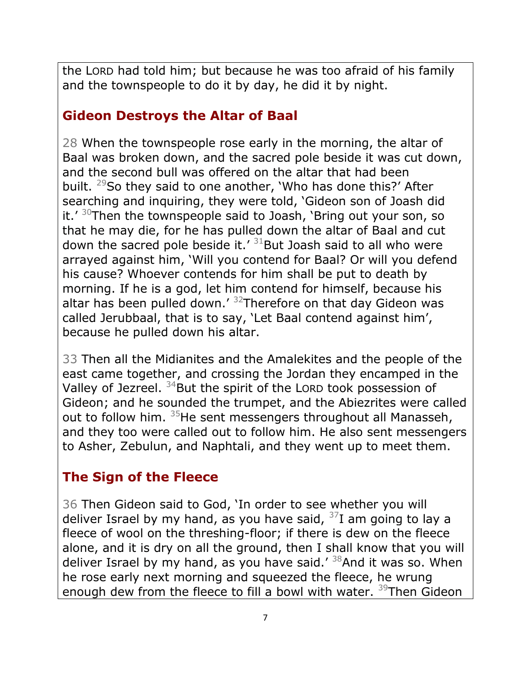the LORD had told him; but because he was too afraid of his family and the townspeople to do it by day, he did it by night.

# **Gideon Destroys the Altar of Baal**

28 When the townspeople rose early in the morning, the altar of Baal was broken down, and the sacred pole beside it was cut down, and the second bull was offered on the altar that had been built. <sup>29</sup>So they said to one another, 'Who has done this?' After searching and inquiring, they were told, 'Gideon son of Joash did it.'  $30$ Then the townspeople said to Joash, 'Bring out your son, so that he may die, for he has pulled down the altar of Baal and cut down the sacred pole beside it.'  $31$ But Joash said to all who were arrayed against him, 'Will you contend for Baal? Or will you defend his cause? Whoever contends for him shall be put to death by morning. If he is a god, let him contend for himself, because his altar has been pulled down.<sup> $\prime$  32</sup>Therefore on that day Gideon was called Jerubbaal, that is to say, 'Let Baal contend against him', because he pulled down his altar.

33 Then all the Midianites and the Amalekites and the people of the east came together, and crossing the Jordan they encamped in the Valley of Jezreel.  $34$ But the spirit of the LORD took possession of Gideon; and he sounded the trumpet, and the Abiezrites were called out to follow him. <sup>35</sup>He sent messengers throughout all Manasseh, and they too were called out to follow him. He also sent messengers to Asher, Zebulun, and Naphtali, and they went up to meet them.

## **The Sign of the Fleece**

36 Then Gideon said to God, 'In order to see whether you will deliver Israel by my hand, as you have said,  $37$ I am going to lay a fleece of wool on the threshing-floor; if there is dew on the fleece alone, and it is dry on all the ground, then I shall know that you will deliver Israel by my hand, as you have said.'  $38$ And it was so. When he rose early next morning and squeezed the fleece, he wrung enough dew from the fleece to fill a bowl with water. <sup>39</sup>Then Gideon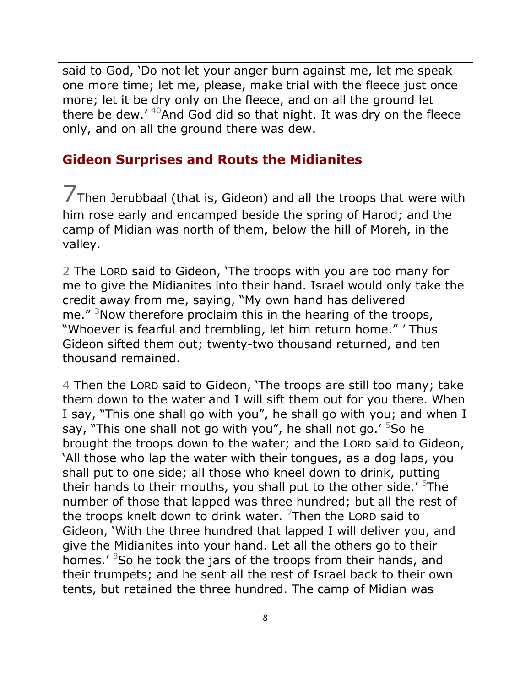said to God, 'Do not let your anger burn against me, let me speak one more time; let me, please, make trial with the fleece just once more; let it be dry only on the fleece, and on all the ground let there be dew.'  $40$ And God did so that night. It was dry on the fleece only, and on all the ground there was dew.

#### **Gideon Surprises and Routs the Midianites**

7Then Jerubbaal (that is, Gideon) and all the troops that were with him rose early and encamped beside the spring of Harod; and the camp of Midian was north of them, below the hill of Moreh, in the valley.

2 The LORD said to Gideon, 'The troops with you are too many for me to give the Midianites into their hand. Israel would only take the credit away from me, saying, "My own hand has delivered me." <sup>3</sup>Now therefore proclaim this in the hearing of the troops, "Whoever is fearful and trembling, let him return home." ' Thus Gideon sifted them out; twenty-two thousand returned, and ten thousand remained.

4 Then the LORD said to Gideon, 'The troops are still too many; take them down to the water and I will sift them out for you there. When I say, "This one shall go with you", he shall go with you; and when I say, "This one shall not go with you", he shall not go.' <sup>5</sup>So he brought the troops down to the water; and the LORD said to Gideon, 'All those who lap the water with their tongues, as a dog laps, you shall put to one side; all those who kneel down to drink, putting their hands to their mouths, you shall put to the other side.' <sup>6</sup>The number of those that lapped was three hundred; but all the rest of the troops knelt down to drink water.  $7$ Then the LORD said to Gideon, 'With the three hundred that lapped I will deliver you, and give the Midianites into your hand. Let all the others go to their homes.' <sup>8</sup>So he took the jars of the troops from their hands, and their trumpets; and he sent all the rest of Israel back to their own tents, but retained the three hundred. The camp of Midian was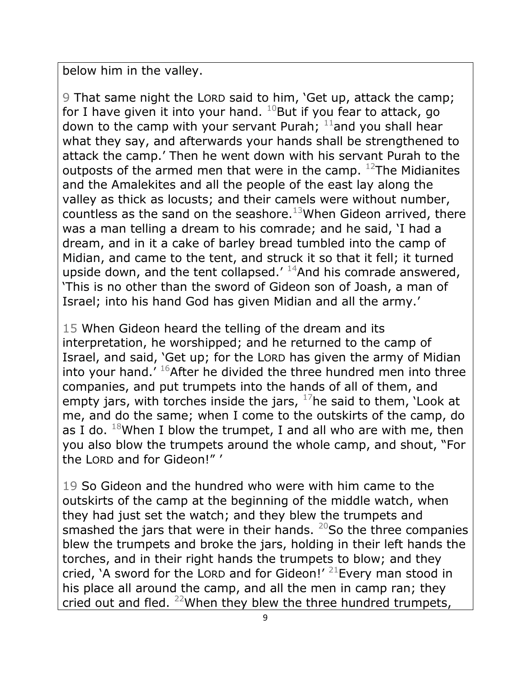below him in the valley.

9 That same night the LORD said to him, 'Get up, attack the camp; for I have given it into your hand.  $^{10}$ But if you fear to attack, go down to the camp with your servant Purah;  $11$  and you shall hear what they say, and afterwards your hands shall be strengthened to attack the camp.' Then he went down with his servant Purah to the outposts of the armed men that were in the camp.  $12$ The Midianites and the Amalekites and all the people of the east lay along the valley as thick as locusts; and their camels were without number, countless as the sand on the seashore.<sup>13</sup>When Gideon arrived, there was a man telling a dream to his comrade; and he said, 'I had a dream, and in it a cake of barley bread tumbled into the camp of Midian, and came to the tent, and struck it so that it fell; it turned upside down, and the tent collapsed.'  $14$ And his comrade answered, 'This is no other than the sword of Gideon son of Joash, a man of Israel; into his hand God has given Midian and all the army.'

15 When Gideon heard the telling of the dream and its interpretation, he worshipped; and he returned to the camp of Israel, and said, 'Get up; for the LORD has given the army of Midian into your hand.'  $^{16}$ After he divided the three hundred men into three companies, and put trumpets into the hands of all of them, and empty jars, with torches inside the jars,  $17$ he said to them, 'Look at me, and do the same; when I come to the outskirts of the camp, do as I do.  $^{18}$ When I blow the trumpet, I and all who are with me, then you also blow the trumpets around the whole camp, and shout, "For the LORD and for Gideon!" '

19 So Gideon and the hundred who were with him came to the outskirts of the camp at the beginning of the middle watch, when they had just set the watch; and they blew the trumpets and smashed the jars that were in their hands.  $^{20}$ So the three companies blew the trumpets and broke the jars, holding in their left hands the torches, and in their right hands the trumpets to blow; and they cried, 'A sword for the LORD and for Gideon!'  $^{21}$ Every man stood in his place all around the camp, and all the men in camp ran; they cried out and fled.  $^{22}$ When they blew the three hundred trumpets,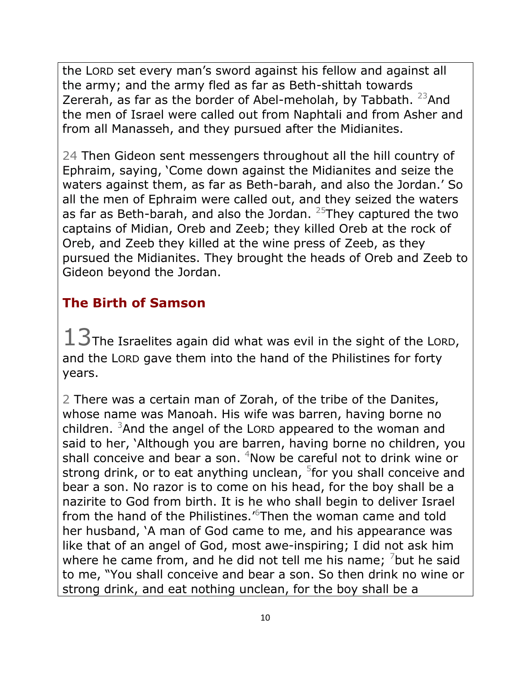the LORD set every man's sword against his fellow and against all the army; and the army fled as far as Beth-shittah towards Zererah, as far as the border of Abel-meholah, by Tabbath.  $^{23}$ And the men of Israel were called out from Naphtali and from Asher and from all Manasseh, and they pursued after the Midianites.

24 Then Gideon sent messengers throughout all the hill country of Ephraim, saying, 'Come down against the Midianites and seize the waters against them, as far as Beth-barah, and also the Jordan.' So all the men of Ephraim were called out, and they seized the waters as far as Beth-barah, and also the Jordan.  $25$ They captured the two captains of Midian, Oreb and Zeeb; they killed Oreb at the rock of Oreb, and Zeeb they killed at the wine press of Zeeb, as they pursued the Midianites. They brought the heads of Oreb and Zeeb to Gideon beyond the Jordan.

## **The Birth of Samson**

 $13$ The Israelites again did what was evil in the sight of the LORD, and the LORD gave them into the hand of the Philistines for forty years.

2 There was a certain man of Zorah, of the tribe of the Danites, whose name was Manoah. His wife was barren, having borne no children.  $3$ And the angel of the LORD appeared to the woman and said to her, 'Although you are barren, having borne no children, you shall conceive and bear a son.  $4$ Now be careful not to drink wine or strong drink, or to eat anything unclean, <sup>5</sup>for you shall conceive and bear a son. No razor is to come on his head, for the boy shall be a nazirite to God from birth. It is he who shall begin to deliver Israel from the hand of the Philistines.<sup>'6</sup>Then the woman came and told her husband, 'A man of God came to me, and his appearance was like that of an angel of God, most awe-inspiring; I did not ask him where he came from, and he did not tell me his name;  $\frac{7}{1}$  but he said to me, "You shall conceive and bear a son. So then drink no wine or strong drink, and eat nothing unclean, for the boy shall be a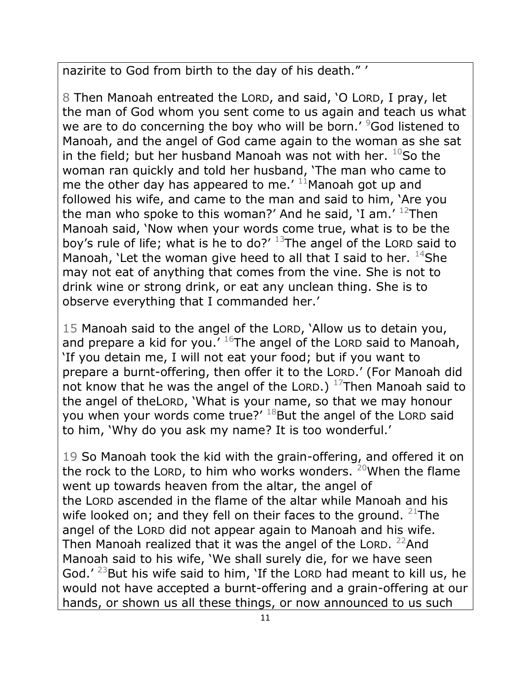nazirite to God from birth to the day of his death." '

8 Then Manoah entreated the LORD, and said, 'O LORD, I pray, let the man of God whom you sent come to us again and teach us what we are to do concerning the boy who will be born.' <sup>9</sup>God listened to Manoah, and the angel of God came again to the woman as she sat in the field; but her husband Manoah was not with her.  $^{10}$ So the woman ran quickly and told her husband, 'The man who came to me the other day has appeared to me.'  $11$ Manoah got up and followed his wife, and came to the man and said to him, 'Are you the man who spoke to this woman?' And he said, 'I am.'  $12$ Then Manoah said, 'Now when your words come true, what is to be the boy's rule of life; what is he to do?'  $13$ The angel of the LORD said to Manoah, 'Let the woman give heed to all that I said to her.  $^{14}$ She may not eat of anything that comes from the vine. She is not to drink wine or strong drink, or eat any unclean thing. She is to observe everything that I commanded her.'

15 Manoah said to the angel of the LORD, 'Allow us to detain you, and prepare a kid for you.'  $^{16}$ The angel of the LORD said to Manoah, 'If you detain me, I will not eat your food; but if you want to prepare a burnt-offering, then offer it to the LORD.' (For Manoah did not know that he was the angel of the LORD.)  $^{17}$ Then Manoah said to the angel of theLORD, 'What is your name, so that we may honour you when your words come true?'  $^{18}$ But the angel of the LORD said to him, 'Why do you ask my name? It is too wonderful.'

19 So Manoah took the kid with the grain-offering, and offered it on the rock to the LORD, to him who works wonders. <sup>20</sup>When the flame went up towards heaven from the altar, the angel of the LORD ascended in the flame of the altar while Manoah and his wife looked on; and they fell on their faces to the ground.  $21$ The angel of the LORD did not appear again to Manoah and his wife. Then Manoah realized that it was the angel of the LORD.  $^{22}$ And Manoah said to his wife, 'We shall surely die, for we have seen God.' $^{23}$ But his wife said to him, 'If the LORD had meant to kill us, he would not have accepted a burnt-offering and a grain-offering at our hands, or shown us all these things, or now announced to us such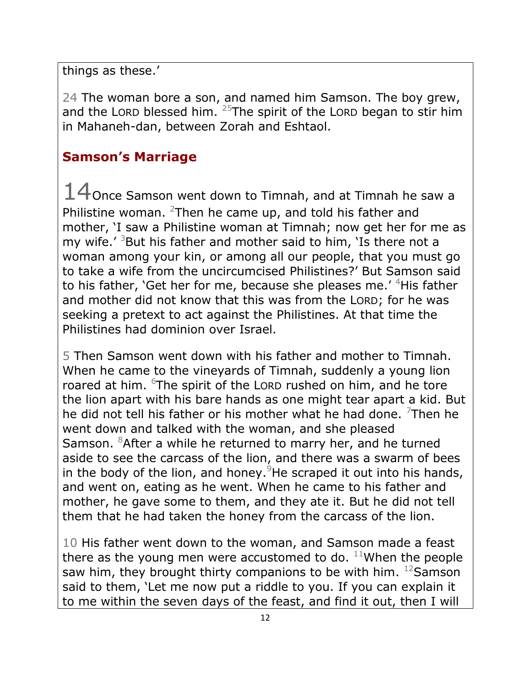things as these.'

24 The woman bore a son, and named him Samson. The boy grew, and the LORD blessed him.  $25$ The spirit of the LORD began to stir him in Mahaneh-dan, between Zorah and Eshtaol.

# **Samson's Marriage**

 $14$ Once Samson went down to Timnah, and at Timnah he saw a Philistine woman. <sup>2</sup>Then he came up, and told his father and mother, 'I saw a Philistine woman at Timnah; now get her for me as my wife.<sup>'</sup> <sup>3</sup>But his father and mother said to him, 'Is there not a woman among your kin, or among all our people, that you must go to take a wife from the uncircumcised Philistines?' But Samson said to his father, 'Get her for me, because she pleases me.' <sup>4</sup>His father and mother did not know that this was from the LORD; for he was seeking a pretext to act against the Philistines. At that time the Philistines had dominion over Israel.

5 Then Samson went down with his father and mother to Timnah. When he came to the vineyards of Timnah, suddenly a young lion roared at him. <sup>6</sup>The spirit of the LORD rushed on him, and he tore the lion apart with his bare hands as one might tear apart a kid. But he did not tell his father or his mother what he had done.  $7$ Then he went down and talked with the woman, and she pleased Samson. <sup>8</sup>After a while he returned to marry her, and he turned aside to see the carcass of the lion, and there was a swarm of bees in the body of the lion, and honey. <sup>9</sup>He scraped it out into his hands, and went on, eating as he went. When he came to his father and mother, he gave some to them, and they ate it. But he did not tell them that he had taken the honey from the carcass of the lion.

10 His father went down to the woman, and Samson made a feast there as the young men were accustomed to do.  $11$ When the people saw him, they brought thirty companions to be with him.  $^{12}$ Samson said to them, 'Let me now put a riddle to you. If you can explain it to me within the seven days of the feast, and find it out, then I will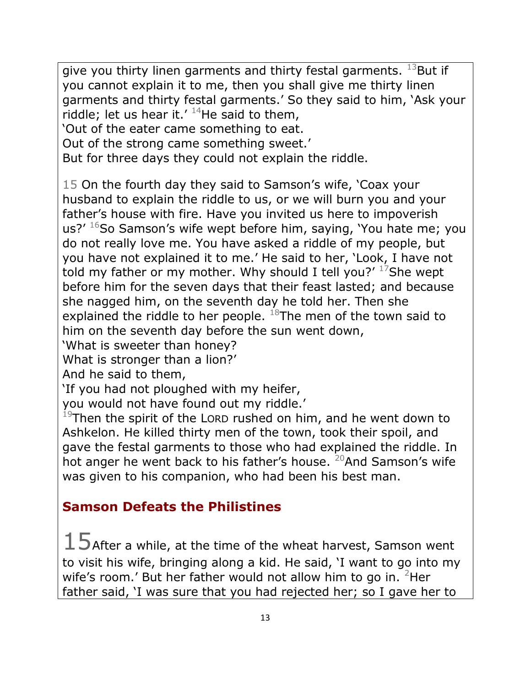give you thirty linen garments and thirty festal garments.  $^{13}$ But if you cannot explain it to me, then you shall give me thirty linen garments and thirty festal garments.' So they said to him, 'Ask your riddle; let us hear it.'  $14$ He said to them, 'Out of the eater came something to eat.

Out of the strong came something sweet.'

But for three days they could not explain the riddle.

15 On the fourth day they said to Samson's wife, 'Coax your husband to explain the riddle to us, or we will burn you and your father's house with fire. Have you invited us here to impoverish us?'  $16$ So Samson's wife wept before him, saying, 'You hate me; you do not really love me. You have asked a riddle of my people, but you have not explained it to me.' He said to her, 'Look, I have not told my father or my mother. Why should I tell you?'  $17$ She wept before him for the seven days that their feast lasted; and because she nagged him, on the seventh day he told her. Then she explained the riddle to her people.  $^{18}$ The men of the town said to him on the seventh day before the sun went down,

'What is sweeter than honey?

What is stronger than a lion?'

And he said to them,

'If you had not ploughed with my heifer,

you would not have found out my riddle.'

 $19$ Then the spirit of the LORD rushed on him, and he went down to Ashkelon. He killed thirty men of the town, took their spoil, and gave the festal garments to those who had explained the riddle. In hot anger he went back to his father's house. <sup>20</sup>And Samson's wife was given to his companion, who had been his best man.

# **Samson Defeats the Philistines**

 $15$ After a while, at the time of the wheat harvest, Samson went to visit his wife, bringing along a kid. He said, 'I want to go into my wife's room.' But her father would not allow him to go in.  $2$ Her father said, 'I was sure that you had rejected her; so I gave her to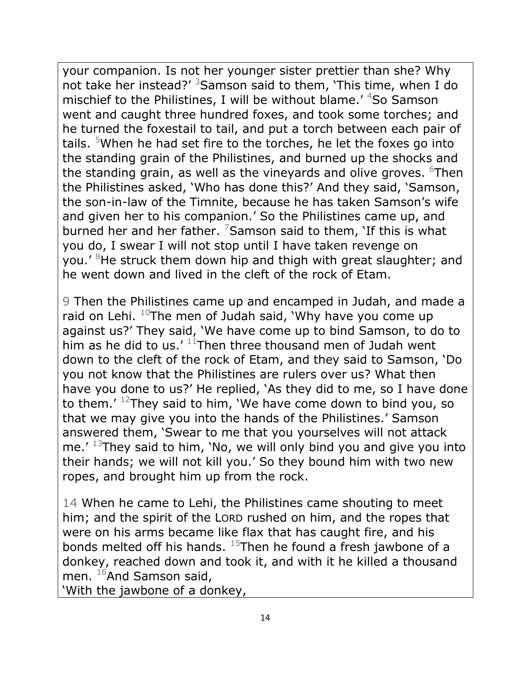your companion. Is not her younger sister prettier than she? Why not take her instead?' <sup>3</sup>Samson said to them, 'This time, when I do mischief to the Philistines, I will be without blame.' <sup>4</sup>So Samson went and caught three hundred foxes, and took some torches; and he turned the foxestail to tail, and put a torch between each pair of tails. <sup>5</sup>When he had set fire to the torches, he let the foxes go into the standing grain of the Philistines, and burned up the shocks and the standing grain, as well as the vineyards and olive groves. <sup>6</sup>Then the Philistines asked, 'Who has done this?' And they said, 'Samson, the son-in-law of the Timnite, because he has taken Samson's wife and given her to his companion.' So the Philistines came up, and burned her and her father.  $7$ Samson said to them, 'If this is what you do, I swear I will not stop until I have taken revenge on you.' <sup>8</sup>He struck them down hip and thigh with great slaughter; and he went down and lived in the cleft of the rock of Etam.

9 Then the Philistines came up and encamped in Judah, and made a raid on Lehi.  $10$ The men of Judah said, 'Why have you come up against us?' They said, 'We have come up to bind Samson, to do to him as he did to us.'  $11$ Then three thousand men of Judah went down to the cleft of the rock of Etam, and they said to Samson, 'Do you not know that the Philistines are rulers over us? What then have you done to us?' He replied, 'As they did to me, so I have done to them.' <sup>12</sup>They said to him, 'We have come down to bind you, so that we may give you into the hands of the Philistines.' Samson answered them, 'Swear to me that you yourselves will not attack me.' <sup>13</sup>They said to him, 'No, we will only bind you and give you into their hands; we will not kill you.' So they bound him with two new ropes, and brought him up from the rock.

14 When he came to Lehi, the Philistines came shouting to meet him; and the spirit of the LORD rushed on him, and the ropes that were on his arms became like flax that has caught fire, and his bonds melted off his hands.  $15$ Then he found a fresh jawbone of a donkey, reached down and took it, and with it he killed a thousand men. <sup>16</sup>And Samson said,

'With the jawbone of a donkey,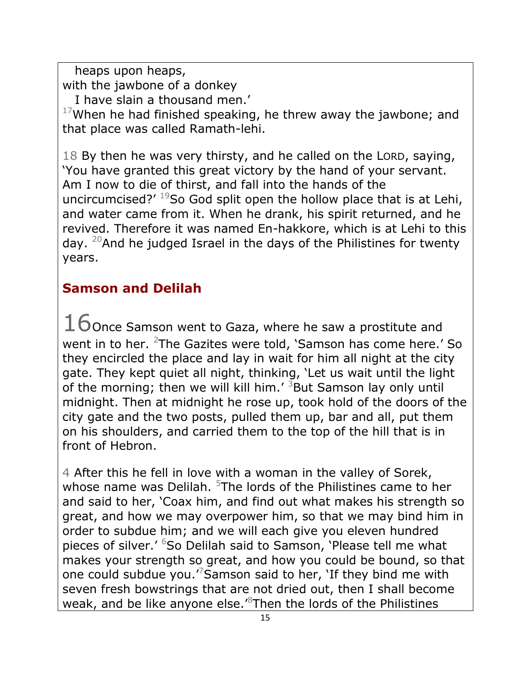heaps upon heaps, with the jawbone of a donkey

I have slain a thousand men.'

 $17$ When he had finished speaking, he threw away the jawbone; and that place was called Ramath-lehi.

18 By then he was very thirsty, and he called on the LORD, saying, 'You have granted this great victory by the hand of your servant. Am I now to die of thirst, and fall into the hands of the uncircumcised?'  $19$ So God split open the hollow place that is at Lehi, and water came from it. When he drank, his spirit returned, and he revived. Therefore it was named En-hakkore, which is at Lehi to this day.  $20$ And he judged Israel in the days of the Philistines for twenty years.

# **Samson and Delilah**

 $16$ Once Samson went to Gaza, where he saw a prostitute and went in to her. <sup>2</sup>The Gazites were told, 'Samson has come here.' So they encircled the place and lay in wait for him all night at the city gate. They kept quiet all night, thinking, 'Let us wait until the light of the morning; then we will kill him.<sup> $\prime$  3</sup>But Samson lay only until midnight. Then at midnight he rose up, took hold of the doors of the city gate and the two posts, pulled them up, bar and all, put them on his shoulders, and carried them to the top of the hill that is in front of Hebron.

4 After this he fell in love with a woman in the valley of Sorek, whose name was Delilah.  $5$ The lords of the Philistines came to her and said to her, 'Coax him, and find out what makes his strength so great, and how we may overpower him, so that we may bind him in order to subdue him; and we will each give you eleven hundred pieces of silver.<sup>' 6</sup>So Delilah said to Samson, 'Please tell me what makes your strength so great, and how you could be bound, so that one could subdue you.<sup>7</sup>Samson said to her, 'If they bind me with seven fresh bowstrings that are not dried out, then I shall become weak, and be like anyone else.<sup>8</sup>Then the lords of the Philistines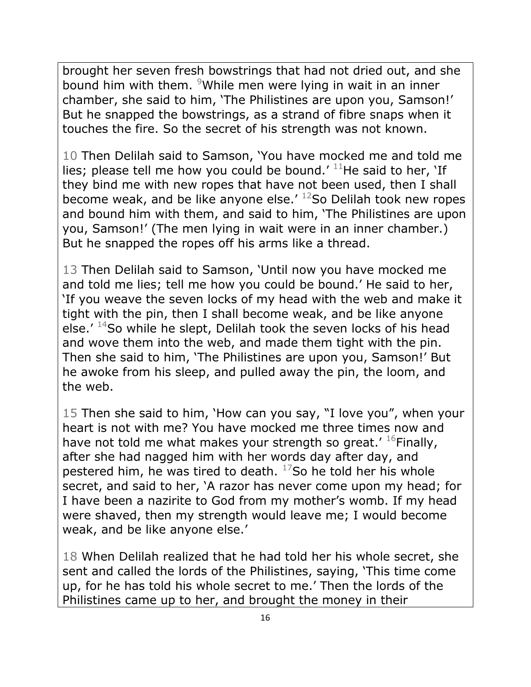brought her seven fresh bowstrings that had not dried out, and she bound him with them. <sup>9</sup>While men were lying in wait in an inner chamber, she said to him, 'The Philistines are upon you, Samson!' But he snapped the bowstrings, as a strand of fibre snaps when it touches the fire. So the secret of his strength was not known.

10 Then Delilah said to Samson, 'You have mocked me and told me lies; please tell me how you could be bound.'  $11$ He said to her, 'If they bind me with new ropes that have not been used, then I shall become weak, and be like anyone else.'  $^{12}$ So Delilah took new ropes and bound him with them, and said to him, 'The Philistines are upon you, Samson!' (The men lying in wait were in an inner chamber.) But he snapped the ropes off his arms like a thread.

13 Then Delilah said to Samson, 'Until now you have mocked me and told me lies; tell me how you could be bound.' He said to her, 'If you weave the seven locks of my head with the web and make it tight with the pin, then I shall become weak, and be like anyone else.'  $14$ So while he slept, Delilah took the seven locks of his head and wove them into the web, and made them tight with the pin. Then she said to him, 'The Philistines are upon you, Samson!' But he awoke from his sleep, and pulled away the pin, the loom, and the web.

15 Then she said to him, 'How can you say, "I love you", when your heart is not with me? You have mocked me three times now and have not told me what makes your strength so great.'  $^{16}$ Finally, after she had nagged him with her words day after day, and pestered him, he was tired to death.  $17$ So he told her his whole secret, and said to her, 'A razor has never come upon my head; for I have been a nazirite to God from my mother's womb. If my head were shaved, then my strength would leave me; I would become weak, and be like anyone else.'

18 When Delilah realized that he had told her his whole secret, she sent and called the lords of the Philistines, saying, 'This time come up, for he has told his whole secret to me.' Then the lords of the Philistines came up to her, and brought the money in their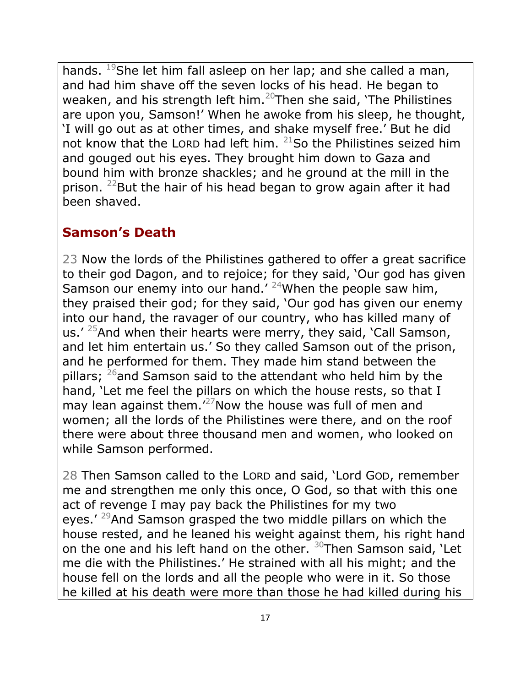hands. <sup>19</sup>She let him fall asleep on her lap; and she called a man, and had him shave off the seven locks of his head. He began to weaken, and his strength left him.<sup>20</sup>Then she said, 'The Philistines are upon you, Samson!' When he awoke from his sleep, he thought, 'I will go out as at other times, and shake myself free.' But he did not know that the LORD had left him.  $21$ So the Philistines seized him and gouged out his eyes. They brought him down to Gaza and bound him with bronze shackles; and he ground at the mill in the prison. <sup>22</sup>But the hair of his head began to grow again after it had been shaved.

#### **Samson's Death**

23 Now the lords of the Philistines gathered to offer a great sacrifice to their god Dagon, and to rejoice; for they said, 'Our god has given Samson our enemy into our hand.'  $24$ When the people saw him, they praised their god; for they said, 'Our god has given our enemy into our hand, the ravager of our country, who has killed many of us.'  $25$ And when their hearts were merry, they said, 'Call Samson, and let him entertain us.' So they called Samson out of the prison, and he performed for them. They made him stand between the pillars;  $^{26}$  and Samson said to the attendant who held him by the hand, 'Let me feel the pillars on which the house rests, so that I may lean against them.<sup>'27</sup>Now the house was full of men and women; all the lords of the Philistines were there, and on the roof there were about three thousand men and women, who looked on while Samson performed.

28 Then Samson called to the LORD and said, 'Lord GOD, remember me and strengthen me only this once, O God, so that with this one act of revenge I may pay back the Philistines for my two eyes.' <sup>29</sup>And Samson grasped the two middle pillars on which the house rested, and he leaned his weight against them, his right hand on the one and his left hand on the other.  $30$ Then Samson said, 'Let me die with the Philistines.' He strained with all his might; and the house fell on the lords and all the people who were in it. So those he killed at his death were more than those he had killed during his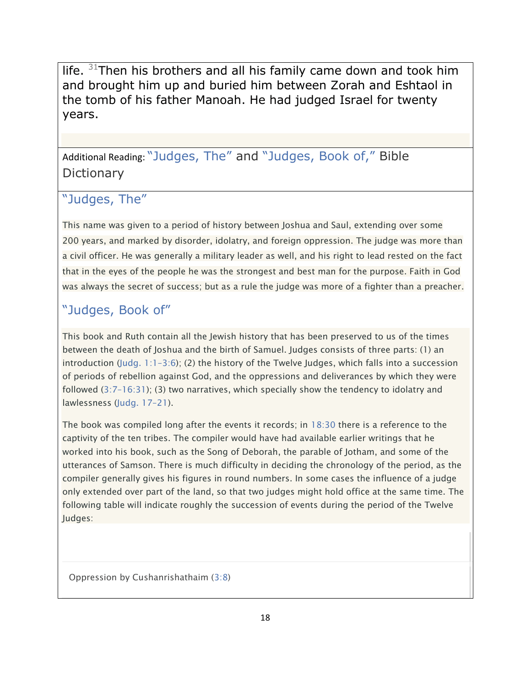life.  $31$ Then his brothers and all his family came down and took him and brought him up and buried him between Zorah and Eshtaol in the tomb of his father Manoah. He had judged Israel for twenty years.

Additional Reading: ["Judges, The"](http://www.lds.org/scriptures/bd/judges-the?lang=eng&letter=j) and ["Judges, Book of,"](http://www.lds.org/scriptures/bd/judges-book-of?lang=eng&letter=j) Bible **Dictionary** 

#### ["Judges, The"](http://www.lds.org/scriptures/bd/judges-the?lang=eng&letter=j)

This name was given to a period of history between Joshua and Saul, extending over some 200 years, and marked by disorder, idolatry, and foreign oppression. The judge was more than a civil officer. He was generally a military leader as well, and his right to lead rested on the fact that in the eyes of the people he was the strongest and best man for the purpose. Faith in God was always the secret of success; but as a rule the judge was more of a fighter than a preacher.

#### ["Judges, Book of"](http://www.lds.org/scriptures/bd/judges-book-of?lang=eng&letter=j)

This book and Ruth contain all the Jewish history that has been preserved to us of the times between the death of Joshua and the birth of Samuel. Judges consists of three parts: (1) an introduction [\(Judg.](https://www.lds.org/scriptures/ot/judg/1.1?span=1.1-3.6&lang=eng#0) 1:1–3:6); (2) the history of the Twelve Judges, which falls into a succession of periods of rebellion against God, and the oppressions and deliverances by which they were followed (3:7–[16:31\)](https://www.lds.org/scriptures/ot/judg/3.7?span=3.7-16.31&lang=eng#6); (3) two narratives, which specially show the tendency to idolatry and lawlessness [\(Judg.](https://www.lds.org/scriptures/ot/judg/17?span=17-21&lang=eng) 17–21).

The book was compiled long after the events it records; in [18:30](https://www.lds.org/scriptures/ot/judg/18.30?lang=eng#29) there is a reference to the captivity of the ten tribes. The compiler would have had available earlier writings that he worked into his book, such as the Song of Deborah, the parable of Jotham, and some of the utterances of Samson. There is much difficulty in deciding the chronology of the period, as the compiler generally gives his figures in round numbers. In some cases the influence of a judge only extended over part of the land, so that two judges might hold office at the same time. The following table will indicate roughly the succession of events during the period of the Twelve Judges:

Oppression by Cushanrishathaim  $(3:8)$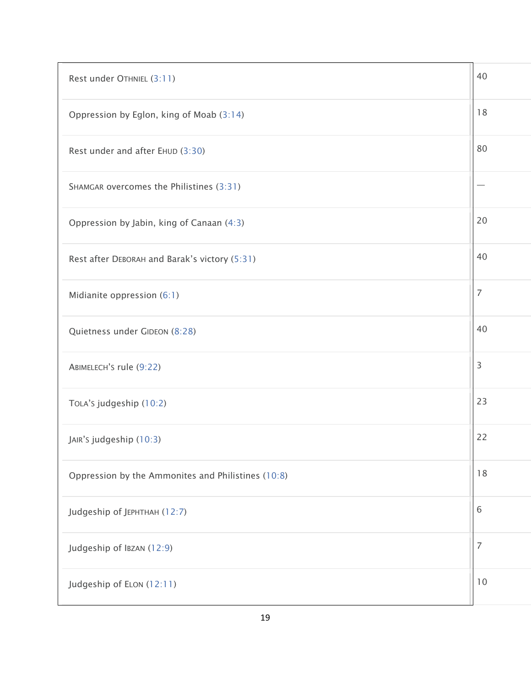| Rest under OTHNIEL (3:11)                          | 40 |
|----------------------------------------------------|----|
| Oppression by Eglon, king of Moab (3:14)           | 18 |
| Rest under and after EHUD (3:30)                   | 80 |
| SHAMGAR overcomes the Philistines (3:31)           |    |
| Oppression by Jabin, king of Canaan (4:3)          | 20 |
| Rest after DEBORAH and Barak's victory (5:31)      | 40 |
| Midianite oppression (6:1)                         | 7  |
| Quietness under GIDEON (8:28)                      | 40 |
| ABIMELECH'S rule (9:22)                            | 3  |
| TOLA's judgeship (10:2)                            | 23 |
| JAIR's judgeship (10:3)                            | 22 |
| Oppression by the Ammonites and Philistines (10:8) | 18 |
| Judgeship of JEPHTHAH (12:7)                       | 6  |
| Judgeship of IBZAN (12:9)                          | 7  |
| Judgeship of ELON (12:11)                          | 10 |